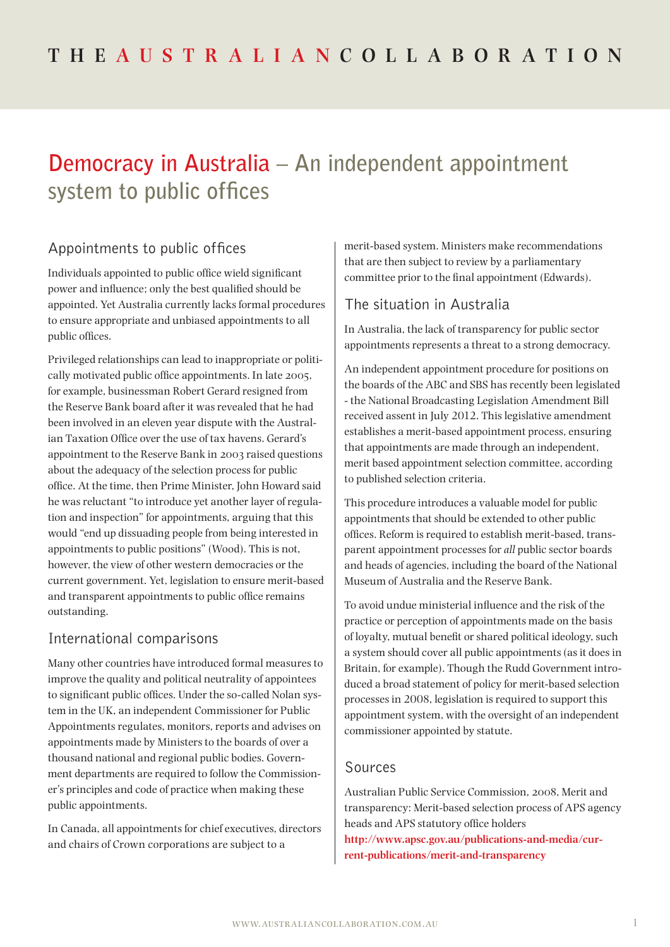# **Democracy in Australia – An independent appointment system to public offices**

## Appointments to public offices

Individuals appointed to public office wield significant power and influence; only the best qualified should be appointed. Yet Australia currently lacks formal procedures to ensure appropriate and unbiased appointments to all public offices.

Privileged relationships can lead to inappropriate or politically motivated public office appointments. In late 2005, for example, businessman Robert Gerard resigned from the Reserve Bank board after it was revealed that he had been involved in an eleven year dispute with the Australian Taxation Office over the use of tax havens. Gerard's appointment to the Reserve Bank in 2003 raised questions about the adequacy of the selection process for public office. At the time, then Prime Minister, John Howard said he was reluctant "to introduce yet another layer of regulation and inspection" for appointments, arguing that this would "end up dissuading people from being interested in appointments to public positions" (Wood). This is not, however, the view of other western democracies or the current government. Yet, legislation to ensure merit-based and transparent appointments to public office remains outstanding.

#### International comparisons

Many other countries have introduced formal measures to improve the quality and political neutrality of appointees to significant public offices. Under the so-called Nolan system in the UK, an independent Commissioner for Public Appointments regulates, monitors, reports and advises on appointments made by Ministers to the boards of over a thousand national and regional public bodies. Government departments are required to follow the Commissioner's principles and code of practice when making these public appointments.

In Canada, all appointments for chief executives, directors and chairs of Crown corporations are subject to a

merit-based system. Ministers make recommendations that are then subject to review by a parliamentary committee prior to the final appointment (Edwards).

### The situation in Australia

In Australia, the lack of transparency for public sector appointments represents a threat to a strong democracy.

An independent appointment procedure for positions on the boards of the ABC and SBS has recently been legislated - the National Broadcasting Legislation Amendment Bill received assent in July 2012. This legislative amendment establishes a merit-based appointment process, ensuring that appointments are made through an independent, merit based appointment selection committee, according to published selection criteria.

This procedure introduces a valuable model for public appointments that should be extended to other public offices. Reform is required to establish merit-based, transparent appointment processes for *all* public sector boards and heads of agencies, including the board of the National Museum of Australia and the Reserve Bank.

To avoid undue ministerial influence and the risk of the practice or perception of appointments made on the basis of loyalty, mutual benefit or shared political ideology, such a system should cover all public appointments (as it does in Britain, for example). Though the Rudd Government introduced a broad statement of policy for merit-based selection processes in 2008, legislation is required to support this appointment system, with the oversight of an independent commissioner appointed by statute.

#### Sources

Australian Public Service Commission, 2008, Merit and transparency: Merit-based selection process of APS agency heads and APS statutory office holders **[http://www.apsc.gov.au/publications-and-media/cur](http://www.apsc.gov.au/publications-and-media/current-publications/merit-and-transparency)[rent-publications/merit-and-transparency](http://www.apsc.gov.au/publications-and-media/current-publications/merit-and-transparency)**